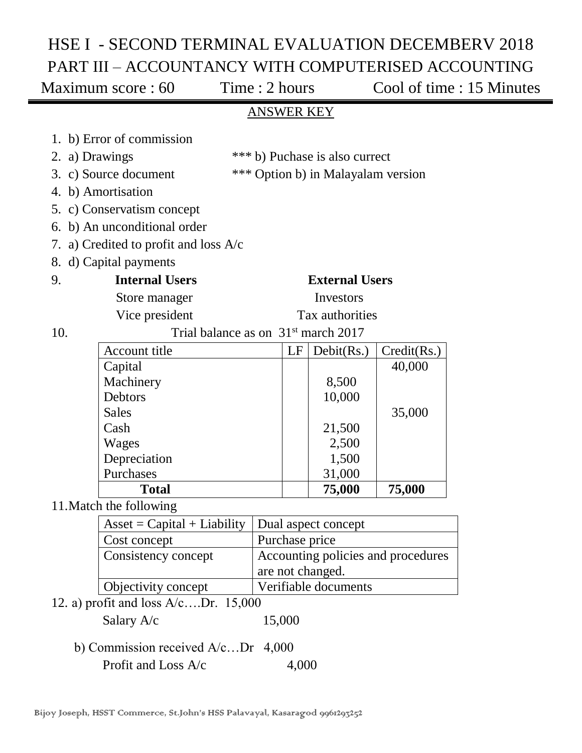# HSE I - SECOND TERMINAL EVALUATION DECEMBERV 2018 PART III – ACCOUNTANCY WITH COMPUTERISED ACCOUNTING

Maximum score : 60 Time : 2 hours Cool of time : 15 Minutes

### ANSWER KEY

| 1. b) Error of commission                                                 |  |  |  |  |  |  |  |  |  |
|---------------------------------------------------------------------------|--|--|--|--|--|--|--|--|--|
|                                                                           |  |  |  |  |  |  |  |  |  |
| 2. a) Drawings<br>*** b) Puchase is also currect                          |  |  |  |  |  |  |  |  |  |
| 3. c) Source document<br>*** Option b) in Malayalam version               |  |  |  |  |  |  |  |  |  |
| 4. b) Amortisation                                                        |  |  |  |  |  |  |  |  |  |
| 5. c) Conservatism concept                                                |  |  |  |  |  |  |  |  |  |
| 6. b) An unconditional order                                              |  |  |  |  |  |  |  |  |  |
| 7. a) Credited to profit and loss A/c                                     |  |  |  |  |  |  |  |  |  |
| 8. d) Capital payments                                                    |  |  |  |  |  |  |  |  |  |
| <b>Internal Users</b><br><b>External Users</b><br>9.                      |  |  |  |  |  |  |  |  |  |
| Investors<br>Store manager                                                |  |  |  |  |  |  |  |  |  |
| Tax authorities<br>Vice president                                         |  |  |  |  |  |  |  |  |  |
| Trial balance as on 31 <sup>st</sup> march 2017<br>10.                    |  |  |  |  |  |  |  |  |  |
|                                                                           |  |  |  |  |  |  |  |  |  |
| <b>Account title</b><br>Debit(Rs.)<br>Credit(Rs.)<br>LF                   |  |  |  |  |  |  |  |  |  |
| Capital<br>40,000                                                         |  |  |  |  |  |  |  |  |  |
| Machinery<br>8,500                                                        |  |  |  |  |  |  |  |  |  |
| Debtors<br>10,000                                                         |  |  |  |  |  |  |  |  |  |
| <b>Sales</b><br>35,000                                                    |  |  |  |  |  |  |  |  |  |
| Cash<br>21,500                                                            |  |  |  |  |  |  |  |  |  |
| Wages<br>2,500                                                            |  |  |  |  |  |  |  |  |  |
| Depreciation<br>1,500                                                     |  |  |  |  |  |  |  |  |  |
| Purchases<br>31,000                                                       |  |  |  |  |  |  |  |  |  |
| <b>Total</b><br>75,000<br>75,000                                          |  |  |  |  |  |  |  |  |  |
| 11. Match the following                                                   |  |  |  |  |  |  |  |  |  |
| $\text{Asset} = \text{Capital} + \text{Liability}$<br>Dual aspect concept |  |  |  |  |  |  |  |  |  |
| Purchase price<br>Cost concept                                            |  |  |  |  |  |  |  |  |  |
| Accounting policies and procedures<br>Consistency concept                 |  |  |  |  |  |  |  |  |  |
| are not changed.                                                          |  |  |  |  |  |  |  |  |  |
| Verifiable documents<br>Objectivity concept                               |  |  |  |  |  |  |  |  |  |

12. a) profit and loss A/c….Dr. 15,000

| Salary A/c | 15,000 |
|------------|--------|
|------------|--------|

 b) Commission received A/c…Dr 4,000 Profit and Loss A/c 4,000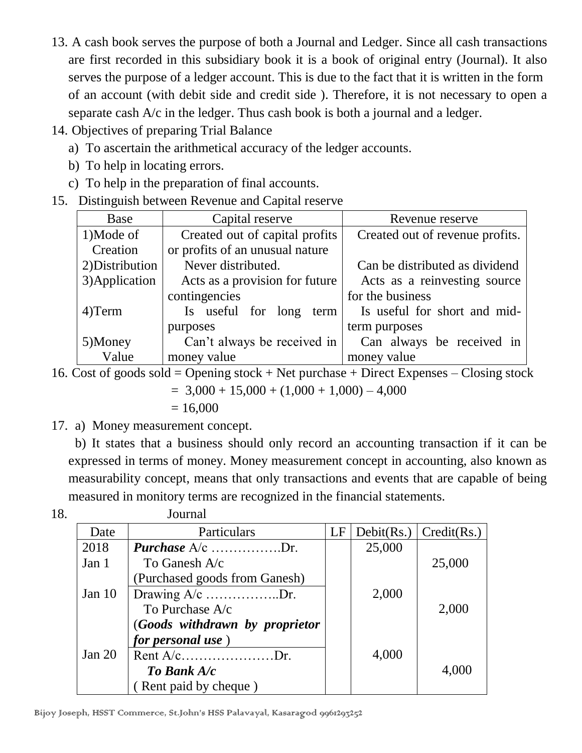- 13. A cash book serves the purpose of both a Journal and Ledger. Since all cash transactions are first recorded in this subsidiary book it is a book of original entry (Journal). It also serves the purpose of a ledger account. This is due to the fact that it is written in the form of an account (with debit side and credit side ). Therefore, it is not necessary to open a separate cash A/c in the ledger. Thus cash book is both a journal and a ledger.
- 14. Objectives of preparing Trial Balance
	- a) To ascertain the arithmetical accuracy of the ledger accounts.
	- b) To help in locating errors.
	- c) To help in the preparation of final accounts.
- 15. Distinguish between Revenue and Capital reserve

| Base            | Capital reserve                 | Revenue reserve                 |
|-----------------|---------------------------------|---------------------------------|
| 1)Mode of       | Created out of capital profits  | Created out of revenue profits. |
| Creation        | or profits of an unusual nature |                                 |
| 2) Distribution | Never distributed.              | Can be distributed as dividend  |
| 3) Application  | Acts as a provision for future  | Acts as a reinvesting source    |
|                 | contingencies                   | for the business                |
| 4) Term         | Is useful for long term         | Is useful for short and mid-    |
|                 | purposes                        | term purposes                   |
| 5)Money         | Can't always be received in     | Can always be received in       |
| Value           | money value                     | money value                     |

16. Cost of goods sold = Opening stock + Net purchase + Direct Expenses  $-$  Closing stock

 $= 3,000 + 15,000 + (1,000 + 1,000) - 4,000$  $= 16,000$ 

17. a) Money measurement concept.

 b) It states that a business should only record an accounting transaction if it can be expressed in terms of money. Money measurement concept in accounting, also known as measurability concept, means that only transactions and events that are capable of being measured in monitory terms are recognized in the financial statements.

| ۰.<br>×<br>v |  |
|--------------|--|

**Journal** 

| Date     | Particulars                    | LF | Debit(Rs.) | Credit(Rs.) |
|----------|--------------------------------|----|------------|-------------|
| 2018     | <b>Purchase</b> $A/c$ Dr.      |    | 25,000     |             |
| Jan 1    | To Ganesh A/c                  |    |            | 25,000      |
|          | (Purchased goods from Ganesh)  |    |            |             |
| Jan $10$ | Drawing $A/c$ Dr.              |    | 2,000      |             |
|          | To Purchase A/c                |    |            | 2,000       |
|          | (Goods withdrawn by proprietor |    |            |             |
|          | <i>for personal use</i> )      |    |            |             |
| Jan $20$ | Rent $A/c$ Dr.                 |    | 4,000      |             |
|          | To Bank A/c                    |    |            | 4,000       |
|          | (Rent paid by cheque)          |    |            |             |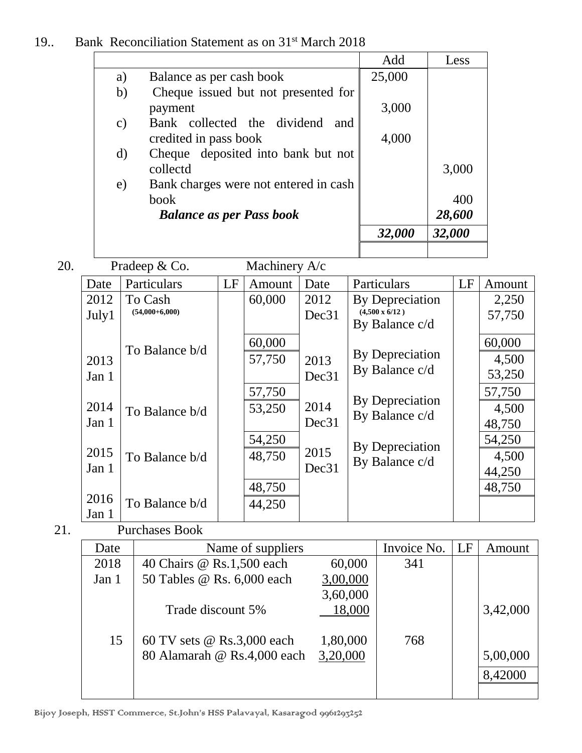|          |                                                 | Add         | Less                      |
|----------|-------------------------------------------------|-------------|---------------------------|
| a)       | Balance as per cash book                        | 25,000      |                           |
| b)       | Cheque issued but not presented for             | 3,000       |                           |
| c)       | payment<br>Bank collected the dividend<br>and   |             |                           |
|          | credited in pass book                           | 4,000       |                           |
| d)       | Cheque deposited into bank but not              |             |                           |
|          | collectd                                        |             | 3,000                     |
| e)       | Bank charges were not entered in cash           |             |                           |
|          | book                                            |             | 400                       |
|          | <b>Balance as per Pass book</b>                 |             | 28,600                    |
|          |                                                 | 32,000      | 32,000                    |
|          |                                                 |             |                           |
| 20.      | Pradeep & Co.<br>Machinery A/c                  |             |                           |
| $\Gamma$ | I E<br>Dorticulare<br>$\Lambda$ mount $\Lambda$ | Dorticulare | $\mathbf{I}$ $\mathbf{E}$ |

| Date  | Particulars      | LF | Amount | Date              | Particulars                             | LF | Amount |
|-------|------------------|----|--------|-------------------|-----------------------------------------|----|--------|
| 2012  | To Cash          |    | 60,000 | 2012              | By Depreciation                         |    | 2,250  |
| July1 | $(54,000+6,000)$ |    |        | Dec31             | $(4,500 \times 6/12)$<br>By Balance c/d |    | 57,750 |
|       | To Balance b/d   |    | 60,000 |                   |                                         |    | 60,000 |
| 2013  |                  |    | 57,750 | 2013              | By Depreciation                         |    | 4,500  |
| Jan 1 |                  |    |        | Dec31             | By Balance c/d                          |    | 53,250 |
|       |                  |    | 57,750 |                   |                                         |    | 57,750 |
| 2014  | To Balance b/d   |    | 53,250 | 2014              | By Depreciation<br>By Balance c/d       |    | 4,500  |
| Jan 1 |                  |    |        | Dec31             |                                         |    | 48,750 |
|       |                  |    | 54,250 |                   | By Depreciation                         |    | 54,250 |
| 2015  | To Balance b/d   |    | 48,750 | 2015              | By Balance c/d                          |    | 4,500  |
| Jan 1 |                  |    |        | Dec <sub>31</sub> |                                         |    | 44,250 |
|       |                  |    | 48,750 |                   |                                         |    | 48,750 |
| 2016  | To Balance b/d   |    | 44,250 |                   |                                         |    |        |
| Jan 1 |                  |    |        |                   |                                         |    |        |

21. Purchases Book

| Date  | Name of suppliers           |          | Invoice No.   LF | Amount   |
|-------|-----------------------------|----------|------------------|----------|
| 2018  | 40 Chairs @ Rs.1,500 each   | 60,000   | 341              |          |
| Jan 1 | 50 Tables @ Rs. 6,000 each  | 3,00,000 |                  |          |
|       |                             | 3,60,000 |                  |          |
|       | Trade discount 5%           | 18,000   |                  | 3,42,000 |
|       |                             |          |                  |          |
| 15    | 60 TV sets @ Rs.3,000 each  | 1,80,000 | 768              |          |
|       | 80 Alamarah @ Rs.4,000 each | 3,20,000 |                  | 5,00,000 |
|       |                             |          |                  | 8,42000  |
|       |                             |          |                  |          |

Bijoy Joseph, HSST Commerce, St.John's HSS Palavayal, Kasaragod 9961293252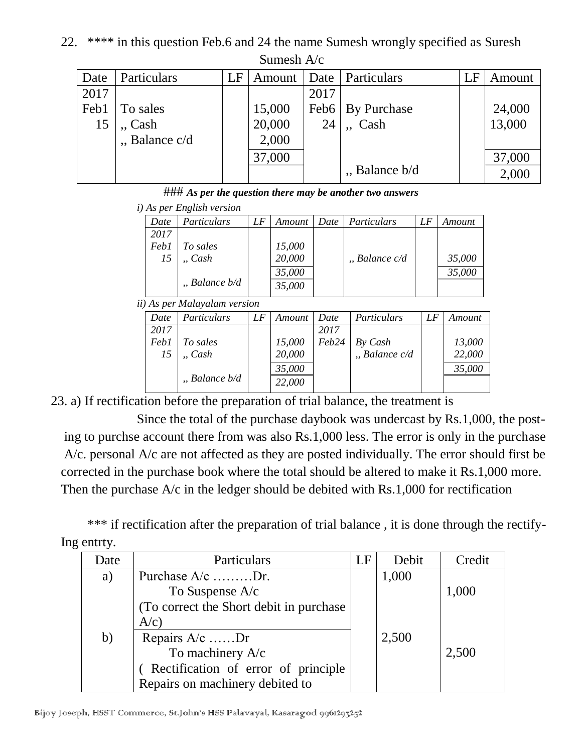## 22. \*\*\*\* in this question Feb.6 and 24 the name Sumesh wrongly specified as Suresh

|      | <u>Damour i v</u> |    |        |      |                       |          |        |  |  |
|------|-------------------|----|--------|------|-----------------------|----------|--------|--|--|
| Date | Particulars       | LF | Amount |      | Date   Particulars    | $\Box$ F | Amount |  |  |
| 2017 |                   |    |        | 2017 |                       |          |        |  |  |
| Feb1 | To sales          |    | 15,000 |      | Feb6   By Purchase    |          | 24,000 |  |  |
| 15   | $\sqrt{a}$ , Cash |    | 20,000 | 24   | Cash                  |          | 13,000 |  |  |
|      | "Balance c/d      |    | 2,000  |      |                       |          |        |  |  |
|      |                   |    | 37,000 |      |                       |          | 37,000 |  |  |
|      |                   |    |        |      | $\mu$ , Balance $b/d$ |          | 2,000  |  |  |

Sumesh A/c

### *As per the question there may be another two answers*

|      | <i>i</i> ) As per English version |    |        |        |                   |    |        |
|------|-----------------------------------|----|--------|--------|-------------------|----|--------|
| Date | Particulars                       | LF | Amount | Date 1 | Particulars       | LF | Amount |
| 2017 |                                   |    |        |        |                   |    |        |
| Feb1 | To sales                          |    | 15,000 |        |                   |    |        |
| 15   | $,$ Cash                          |    | 20,000 |        | $n$ , Balance c/d |    | 35,000 |
|      |                                   |    | 35,000 |        |                   |    | 35,000 |
|      | $n,$ Balance $b/d$                |    | 35,000 |        |                   |    |        |

*ii) As per Malayalam version*

| Date | Particulars         | LF | Amount | Date  | Particulars       | LF | Amount |  |
|------|---------------------|----|--------|-------|-------------------|----|--------|--|
| 2017 |                     |    |        | 2017  |                   |    |        |  |
| Feb1 | To sales            |    | 15,000 | Feb24 | By Cash           |    | 13,000 |  |
| 15   | $\Box$ Cash         |    | 20,000 |       | $n$ , Balance c/d |    | 22,000 |  |
|      |                     |    | 35,000 |       |                   |    | 35,000 |  |
|      | $n$ , Balance $b/d$ |    | 22,000 |       |                   |    |        |  |
|      |                     |    |        |       |                   |    |        |  |

23. a) If rectification before the preparation of trial balance, the treatment is

Since the total of the purchase daybook was undercast by Rs.1,000, the post ing to purchse account there from was also Rs.1,000 less. The error is only in the purchase A/c. personal A/c are not affected as they are posted individually. The error should first be corrected in the purchase book where the total should be altered to make it Rs.1,000 more. Then the purchase A/c in the ledger should be debited with Rs.1,000 for rectification

\*\*\* if rectification after the preparation of trial balance, it is done through the rectify-Ing entrty.

| Date | Particulars                              | LE | Debit | Credit |
|------|------------------------------------------|----|-------|--------|
| a)   | Purchase A/c Dr.                         |    | 1,000 |        |
|      | To Suspense A/c                          |    |       | 1,000  |
|      | (To correct the Short debit in purchase) |    |       |        |
|      | A/c)                                     |    |       |        |
| b)   | Repairs A/c Dr                           |    | 2,500 |        |
|      | To machinery A/c                         |    |       | 2,500  |
|      | (Rectification of error of principle     |    |       |        |
|      | Repairs on machinery debited to          |    |       |        |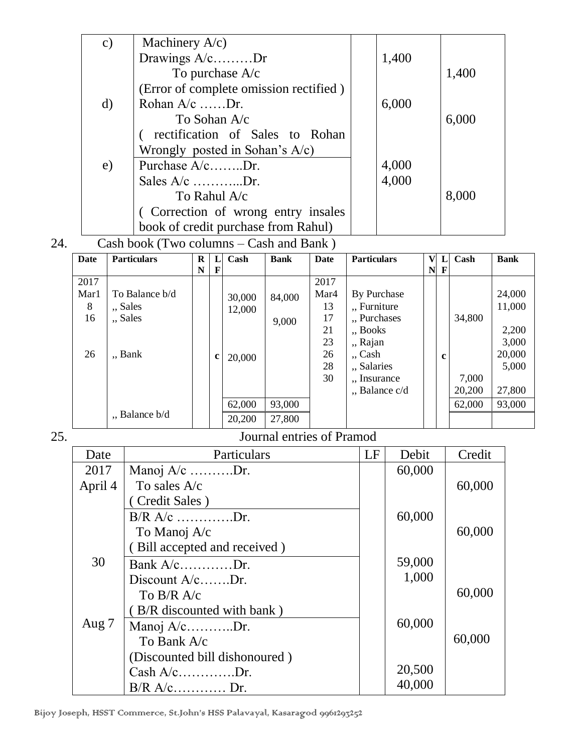| $\mathbf{c})$ | Machinery $A/c$ )                      |       |       |
|---------------|----------------------------------------|-------|-------|
|               | Drawings $A/c$ Dr                      | 1,400 |       |
|               | To purchase $A/c$                      |       | 1,400 |
|               | (Error of complete omission rectified) |       |       |
| $\mathbf{d}$  | Rohan $A/c$ Dr.                        | 6,000 |       |
|               | To Sohan A/c                           |       | 6,000 |
|               | rectification of Sales to Rohan        |       |       |
|               | Wrongly posted in Sohan's $A/c$ )      |       |       |
| e)            | Purchase $A/c$ Dr.                     | 4,000 |       |
|               | Sales $A/c$ Dr.                        | 4,000 |       |
|               | To Rahul A/c                           |       | 8,000 |
|               | (Correction of wrong entry insales     |       |       |
|               | book of credit purchase from Rahul)    |       |       |

# 24. Cash book (Two columns – Cash and Bank )

| Date | <b>Particulars</b>  | R |   | Cash   | <b>Bank</b> | Date | <b>Particulars</b> | V | L           | Cash   | <b>Bank</b> |
|------|---------------------|---|---|--------|-------------|------|--------------------|---|-------------|--------|-------------|
|      |                     | N | F |        |             |      |                    | N | F           |        |             |
| 2017 |                     |   |   |        |             | 2017 |                    |   |             |        |             |
| Mar1 | To Balance b/d      |   |   | 30,000 | 84,000      | Mar4 | By Purchase        |   |             |        | 24,000      |
| 8    | "Sales              |   |   | 12,000 |             | 13   | " Furniture        |   |             |        | 11,000      |
| 16   | "Sales              |   |   |        | 9,000       | 17   | " Purchases        |   |             | 34,800 |             |
|      |                     |   |   |        |             | 21   | "Books             |   |             |        | 2,200       |
|      |                     |   |   |        |             | 23   | "Rajan             |   |             |        | 3,000       |
| 26   | "Bank               |   | c | 20,000 |             | 26   | $\cdot$ , Cash     |   | $\mathbf c$ |        | 20,000      |
|      |                     |   |   |        |             | 28   | "Salaries          |   |             |        | 5,000       |
|      |                     |   |   |        |             | 30   | "Insurance         |   |             | 7,000  |             |
|      |                     |   |   |        |             |      | ", Balance c/d     |   |             | 20,200 | 27,800      |
|      |                     |   |   | 62,000 | 93,000      |      |                    |   |             | 62,000 | 93,000      |
|      | $n$ , Balance $b/d$ |   |   | 20,200 | 27,800      |      |                    |   |             |        |             |

#### 25. Journal entries of Pramod

| Date    | Particulars                   | LF | Debit  | Credit |
|---------|-------------------------------|----|--------|--------|
| 2017    | Manoj $A/c$ Dr.               |    | 60,000 |        |
| April 4 | To sales $A/c$                |    |        | 60,000 |
|         | (Credit Sales)                |    |        |        |
|         | $B/R A/c$ Dr.                 |    | 60,000 |        |
|         | To Manoj A/c                  |    |        | 60,000 |
|         | (Bill accepted and received)  |    |        |        |
| 30      | Bank $A/c$ Dr.                |    | 59,000 |        |
|         | Discount $A/c$ Dr.            |    | 1,000  |        |
|         | To $B/R$ A/c                  |    |        | 60,000 |
|         | (B/R discounted with bank)    |    |        |        |
| Aug 7   | Manoj $A/c$ Dr.               |    | 60,000 |        |
|         | To Bank A/c                   |    |        | 60,000 |
|         | (Discounted bill dishonoured) |    |        |        |
|         | $Cash A/c$ Dr.                |    | 20,500 |        |
|         | $B/R$ A/c Dr.                 |    | 40,000 |        |

Bijoy Joseph, HSST Commerce, St.John's HSS Palavayal, Kasaragod 9961293252